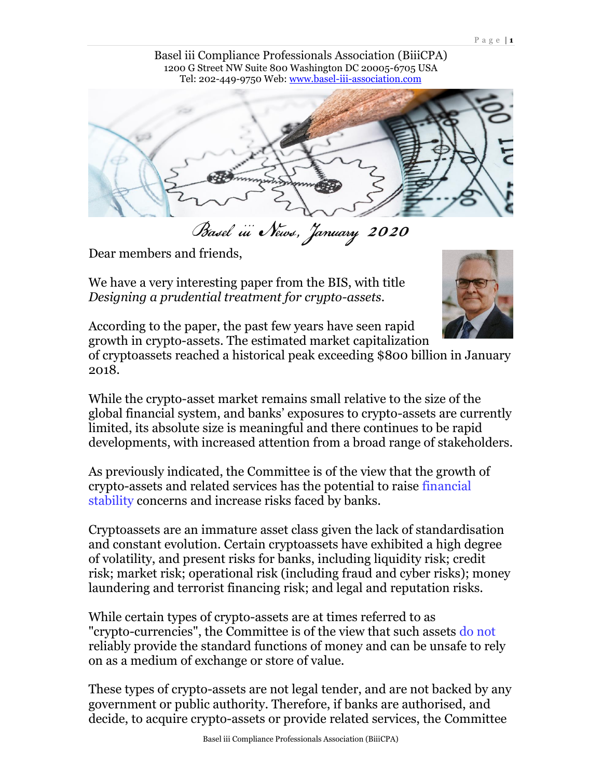

Basel iii News, January 2020

Dear members and friends,

We have a very interesting paper from the BIS, with title *Designing a prudential treatment for crypto-assets.*



According to the paper, the past few years have seen rapid growth in crypto-assets. The estimated market capitalization

of cryptoassets reached a historical peak exceeding \$800 billion in January 2018.

While the crypto-asset market remains small relative to the size of the global financial system, and banks' exposures to crypto-assets are currently limited, its absolute size is meaningful and there continues to be rapid developments, with increased attention from a broad range of stakeholders.

As previously indicated, the Committee is of the view that the growth of crypto-assets and related services has the potential to raise financial stability concerns and increase risks faced by banks.

Cryptoassets are an immature asset class given the lack of standardisation and constant evolution. Certain cryptoassets have exhibited a high degree of volatility, and present risks for banks, including liquidity risk; credit risk; market risk; operational risk (including fraud and cyber risks); money laundering and terrorist financing risk; and legal and reputation risks.

While certain types of crypto-assets are at times referred to as "crypto-currencies", the Committee is of the view that such assets do not reliably provide the standard functions of money and can be unsafe to rely on as a medium of exchange or store of value.

These types of crypto-assets are not legal tender, and are not backed by any government or public authority. Therefore, if banks are authorised, and decide, to acquire crypto-assets or provide related services, the Committee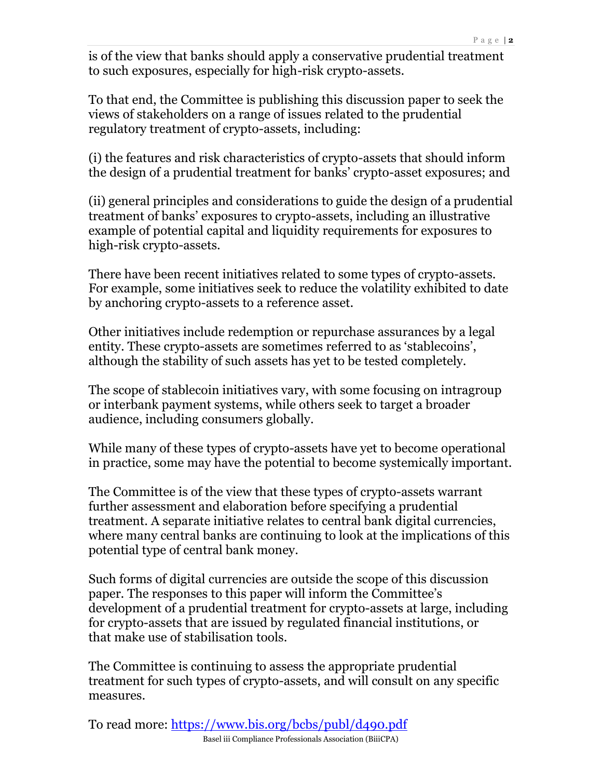is of the view that banks should apply a conservative prudential treatment to such exposures, especially for high-risk crypto-assets.

To that end, the Committee is publishing this discussion paper to seek the views of stakeholders on a range of issues related to the prudential regulatory treatment of crypto-assets, including:

(i) the features and risk characteristics of crypto-assets that should inform the design of a prudential treatment for banks' crypto-asset exposures; and

(ii) general principles and considerations to guide the design of a prudential treatment of banks' exposures to crypto-assets, including an illustrative example of potential capital and liquidity requirements for exposures to high-risk crypto-assets.

There have been recent initiatives related to some types of crypto-assets. For example, some initiatives seek to reduce the volatility exhibited to date by anchoring crypto-assets to a reference asset.

Other initiatives include redemption or repurchase assurances by a legal entity. These crypto-assets are sometimes referred to as 'stablecoins', although the stability of such assets has yet to be tested completely.

The scope of stablecoin initiatives vary, with some focusing on intragroup or interbank payment systems, while others seek to target a broader audience, including consumers globally.

While many of these types of crypto-assets have yet to become operational in practice, some may have the potential to become systemically important.

The Committee is of the view that these types of crypto-assets warrant further assessment and elaboration before specifying a prudential treatment. A separate initiative relates to central bank digital currencies, where many central banks are continuing to look at the implications of this potential type of central bank money.

Such forms of digital currencies are outside the scope of this discussion paper. The responses to this paper will inform the Committee's development of a prudential treatment for crypto-assets at large, including for crypto-assets that are issued by regulated financial institutions, or that make use of stabilisation tools.

The Committee is continuing to assess the appropriate prudential treatment for such types of crypto-assets, and will consult on any specific measures.

Basel iii Compliance Professionals Association (BiiiCPA) To read more:<https://www.bis.org/bcbs/publ/d490.pdf>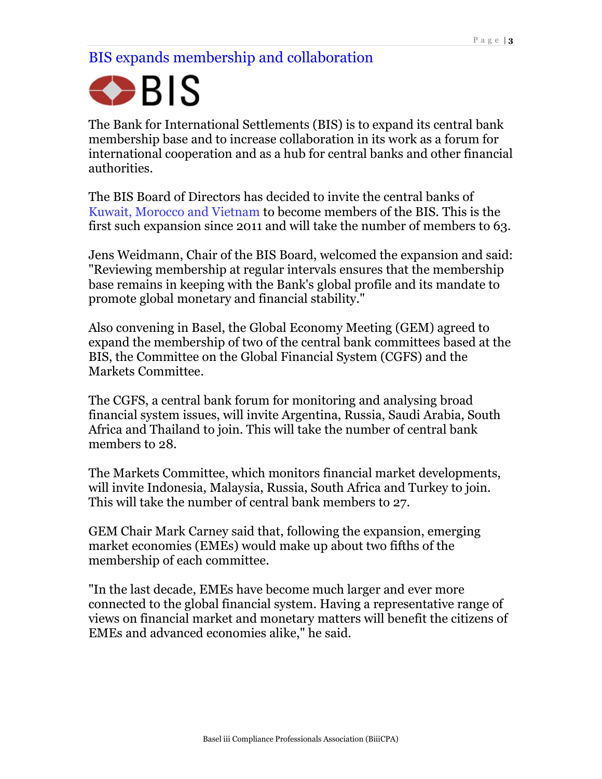# BIS expands membership and collaboration



The Bank for International Settlements (BIS) is to expand its central bank membership base and to increase collaboration in its work as a forum for international cooperation and as a hub for central banks and other financial authorities.

The BIS Board of Directors has decided to invite the central banks of Kuwait, Morocco and Vietnam to become members of the BIS. This is the first such expansion since 2011 and will take the number of members to 63.

Jens Weidmann, Chair of the BIS Board, welcomed the expansion and said: "Reviewing membership at regular intervals ensures that the membership base remains in keeping with the Bank's global profile and its mandate to promote global monetary and financial stability."

Also convening in Basel, the Global Economy Meeting (GEM) agreed to expand the membership of two of the central bank committees based at the BIS, the Committee on the Global Financial System (CGFS) and the Markets Committee.

The CGFS, a central bank forum for monitoring and analysing broad financial system issues, will invite Argentina, Russia, Saudi Arabia, South Africa and Thailand to join. This will take the number of central bank members to 28.

The Markets Committee, which monitors financial market developments, will invite Indonesia, Malaysia, Russia, South Africa and Turkey to join. This will take the number of central bank members to 27.

GEM Chair Mark Carney said that, following the expansion, emerging market economies (EMEs) would make up about two fifths of the membership of each committee.

"In the last decade, EMEs have become much larger and ever more connected to the global financial system. Having a representative range of views on financial market and monetary matters will benefit the citizens of EMEs and advanced economies alike," he said.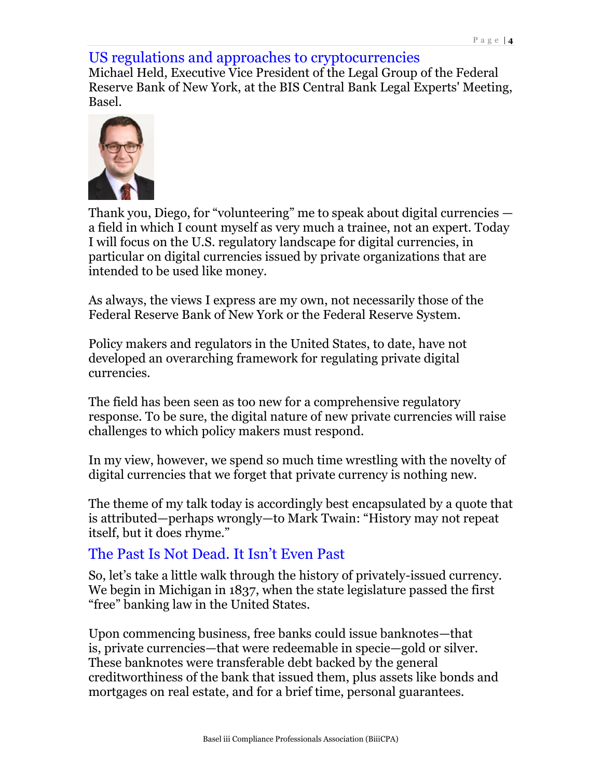#### US regulations and approaches to cryptocurrencies

Michael Held, Executive Vice President of the Legal Group of the Federal Reserve Bank of New York, at the BIS Central Bank Legal Experts' Meeting, Basel.



Thank you, Diego, for "volunteering" me to speak about digital currencies a field in which I count myself as very much a trainee, not an expert. Today I will focus on the U.S. regulatory landscape for digital currencies, in particular on digital currencies issued by private organizations that are intended to be used like money.

As always, the views I express are my own, not necessarily those of the Federal Reserve Bank of New York or the Federal Reserve System.

Policy makers and regulators in the United States, to date, have not developed an overarching framework for regulating private digital currencies.

The field has been seen as too new for a comprehensive regulatory response. To be sure, the digital nature of new private currencies will raise challenges to which policy makers must respond.

In my view, however, we spend so much time wrestling with the novelty of digital currencies that we forget that private currency is nothing new.

The theme of my talk today is accordingly best encapsulated by a quote that is attributed—perhaps wrongly—to Mark Twain: "History may not repeat itself, but it does rhyme."

#### The Past Is Not Dead. It Isn't Even Past

So, let's take a little walk through the history of privately-issued currency. We begin in Michigan in 1837, when the state legislature passed the first "free" banking law in the United States.

Upon commencing business, free banks could issue banknotes—that is, private currencies—that were redeemable in specie—gold or silver. These banknotes were transferable debt backed by the general creditworthiness of the bank that issued them, plus assets like bonds and mortgages on real estate, and for a brief time, personal guarantees.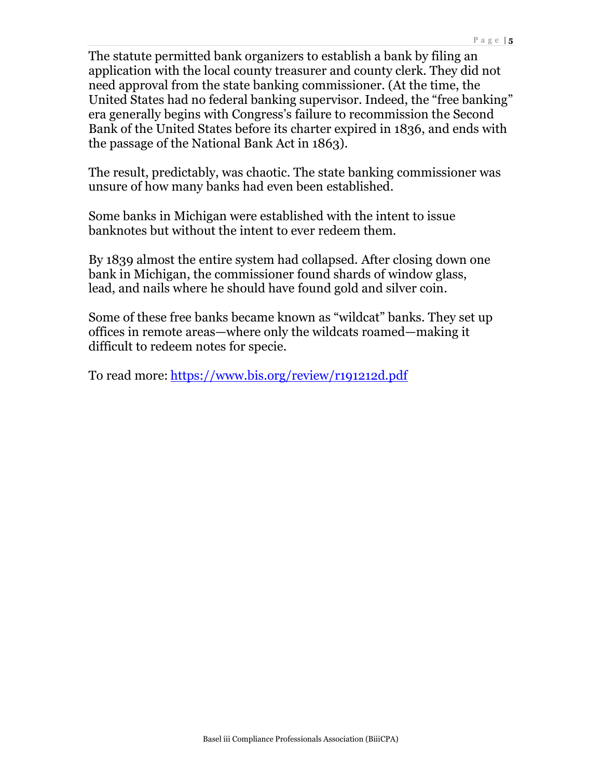The statute permitted bank organizers to establish a bank by filing an application with the local county treasurer and county clerk. They did not need approval from the state banking commissioner. (At the time, the United States had no federal banking supervisor. Indeed, the "free banking" era generally begins with Congress's failure to recommission the Second Bank of the United States before its charter expired in 1836, and ends with the passage of the National Bank Act in 1863).

The result, predictably, was chaotic. The state banking commissioner was unsure of how many banks had even been established.

Some banks in Michigan were established with the intent to issue banknotes but without the intent to ever redeem them.

By 1839 almost the entire system had collapsed. After closing down one bank in Michigan, the commissioner found shards of window glass, lead, and nails where he should have found gold and silver coin.

Some of these free banks became known as "wildcat" banks. They set up offices in remote areas—where only the wildcats roamed—making it difficult to redeem notes for specie.

To read more: <https://www.bis.org/review/r191212d.pdf>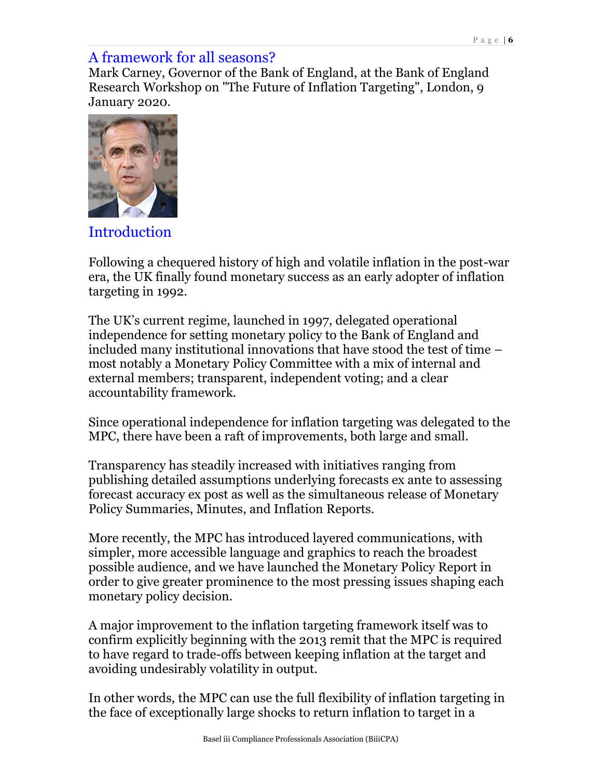### A framework for all seasons?

Mark Carney, Governor of the Bank of England, at the Bank of England Research Workshop on "The Future of Inflation Targeting", London, 9 January 2020.



Introduction

Following a chequered history of high and volatile inflation in the post-war era, the UK finally found monetary success as an early adopter of inflation targeting in 1992.

The UK's current regime, launched in 1997, delegated operational independence for setting monetary policy to the Bank of England and included many institutional innovations that have stood the test of time – most notably a Monetary Policy Committee with a mix of internal and external members; transparent, independent voting; and a clear accountability framework.

Since operational independence for inflation targeting was delegated to the MPC, there have been a raft of improvements, both large and small.

Transparency has steadily increased with initiatives ranging from publishing detailed assumptions underlying forecasts ex ante to assessing forecast accuracy ex post as well as the simultaneous release of Monetary Policy Summaries, Minutes, and Inflation Reports.

More recently, the MPC has introduced layered communications, with simpler, more accessible language and graphics to reach the broadest possible audience, and we have launched the Monetary Policy Report in order to give greater prominence to the most pressing issues shaping each monetary policy decision.

A major improvement to the inflation targeting framework itself was to confirm explicitly beginning with the 2013 remit that the MPC is required to have regard to trade-offs between keeping inflation at the target and avoiding undesirably volatility in output.

In other words, the MPC can use the full flexibility of inflation targeting in the face of exceptionally large shocks to return inflation to target in a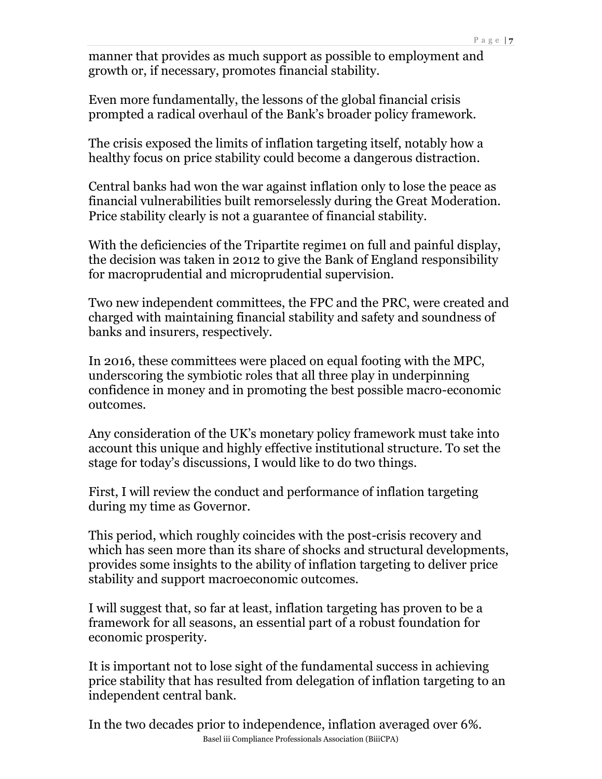manner that provides as much support as possible to employment and growth or, if necessary, promotes financial stability.

Even more fundamentally, the lessons of the global financial crisis prompted a radical overhaul of the Bank's broader policy framework.

The crisis exposed the limits of inflation targeting itself, notably how a healthy focus on price stability could become a dangerous distraction.

Central banks had won the war against inflation only to lose the peace as financial vulnerabilities built remorselessly during the Great Moderation. Price stability clearly is not a guarantee of financial stability.

With the deficiencies of the Tripartite regime<sub>1</sub> on full and painful display, the decision was taken in 2012 to give the Bank of England responsibility for macroprudential and microprudential supervision.

Two new independent committees, the FPC and the PRC, were created and charged with maintaining financial stability and safety and soundness of banks and insurers, respectively.

In 2016, these committees were placed on equal footing with the MPC, underscoring the symbiotic roles that all three play in underpinning confidence in money and in promoting the best possible macro-economic outcomes.

Any consideration of the UK's monetary policy framework must take into account this unique and highly effective institutional structure. To set the stage for today's discussions, I would like to do two things.

First, I will review the conduct and performance of inflation targeting during my time as Governor.

This period, which roughly coincides with the post-crisis recovery and which has seen more than its share of shocks and structural developments, provides some insights to the ability of inflation targeting to deliver price stability and support macroeconomic outcomes.

I will suggest that, so far at least, inflation targeting has proven to be a framework for all seasons, an essential part of a robust foundation for economic prosperity.

It is important not to lose sight of the fundamental success in achieving price stability that has resulted from delegation of inflation targeting to an independent central bank.

Basel iii Compliance Professionals Association (BiiiCPA) In the two decades prior to independence, inflation averaged over 6%.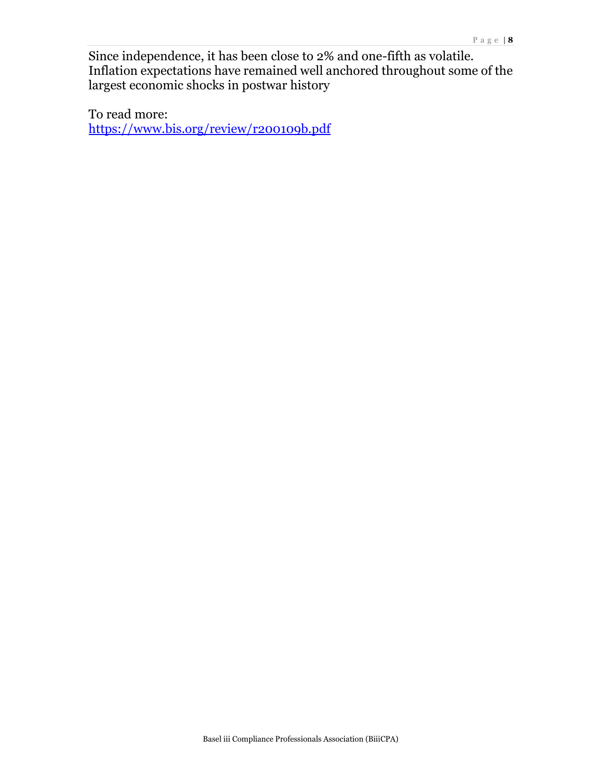Since independence, it has been close to 2% and one-fifth as volatile. Inflation expectations have remained well anchored throughout some of the largest economic shocks in postwar history

To read more: <https://www.bis.org/review/r200109b.pdf>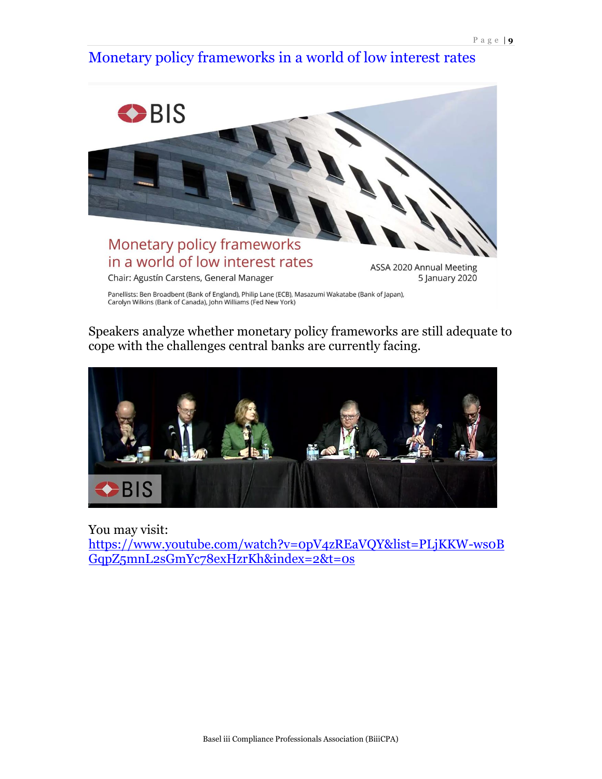# Monetary policy frameworks in a world of low interest rates



Speakers analyze whether monetary policy frameworks are still adequate to

cope with the challenges central banks are currently facing.



You may visit:

[https://www.youtube.com/watch?v=0pV4zREaVQY&list=PLjKKW-ws0B](https://www.youtube.com/watch?v=0pV4zREaVQY&list=PLjKKW-ws0BGqpZ5mnL2sGmYc78exHzrKh&index=2&t=0s) [GqpZ5mnL2sGmYc78exHzrKh&index=2&t=0s](https://www.youtube.com/watch?v=0pV4zREaVQY&list=PLjKKW-ws0BGqpZ5mnL2sGmYc78exHzrKh&index=2&t=0s)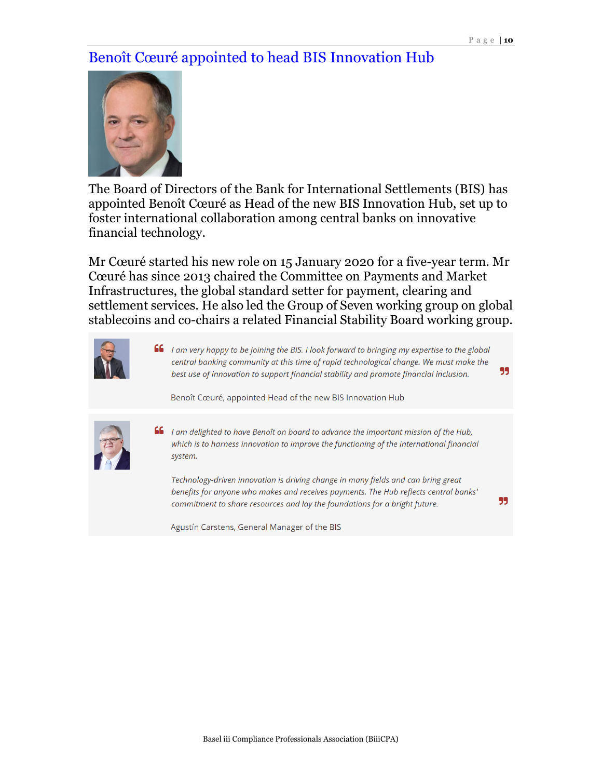99

SS

# Benoît Cœuré appointed to head BIS Innovation Hub



The Board of Directors of the Bank for International Settlements (BIS) has appointed Benoît Cœuré as Head of the new BIS Innovation Hub, set up to foster international collaboration among central banks on innovative financial technology.

Mr Cœuré started his new role on 15 January 2020 for a five-year term. Mr Cœuré has since 2013 chaired the Committee on Payments and Market Infrastructures, the global standard setter for payment, clearing and settlement services. He also led the Group of Seven working group on global stablecoins and co-chairs a related Financial Stability Board working group.



66 I am very happy to be joining the BIS. I look forward to bringing my expertise to the global central banking community at this time of rapid technological change. We must make the best use of innovation to support financial stability and promote financial inclusion.

Benoît Cœuré, appointed Head of the new BIS Innovation Hub



I am delighted to have Benoît on board to advance the important mission of the Hub, which is to harness innovation to improve the functioning of the international financial system.

Technology-driven innovation is driving change in many fields and can bring great benefits for anyone who makes and receives payments. The Hub reflects central banks' commitment to share resources and lay the foundations for a bright future.

Agustín Carstens, General Manager of the BIS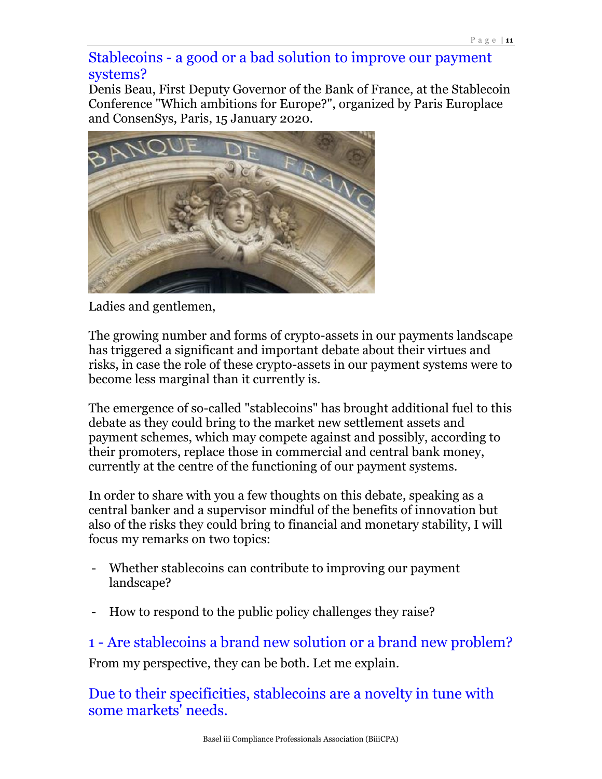### Stablecoins - a good or a bad solution to improve our payment systems?

Denis Beau, First Deputy Governor of the Bank of France, at the Stablecoin Conference "Which ambitions for Europe?", organized by Paris Europlace and ConsenSys, Paris, 15 January 2020.



Ladies and gentlemen,

The growing number and forms of crypto-assets in our payments landscape has triggered a significant and important debate about their virtues and risks, in case the role of these crypto-assets in our payment systems were to become less marginal than it currently is.

The emergence of so-called "stablecoins" has brought additional fuel to this debate as they could bring to the market new settlement assets and payment schemes, which may compete against and possibly, according to their promoters, replace those in commercial and central bank money, currently at the centre of the functioning of our payment systems.

In order to share with you a few thoughts on this debate, speaking as a central banker and a supervisor mindful of the benefits of innovation but also of the risks they could bring to financial and monetary stability, I will focus my remarks on two topics:

- Whether stablecoins can contribute to improving our payment landscape?
- How to respond to the public policy challenges they raise?

1 - Are stablecoins a brand new solution or a brand new problem? From my perspective, they can be both. Let me explain.

Due to their specificities, stablecoins are a novelty in tune with some markets' needs.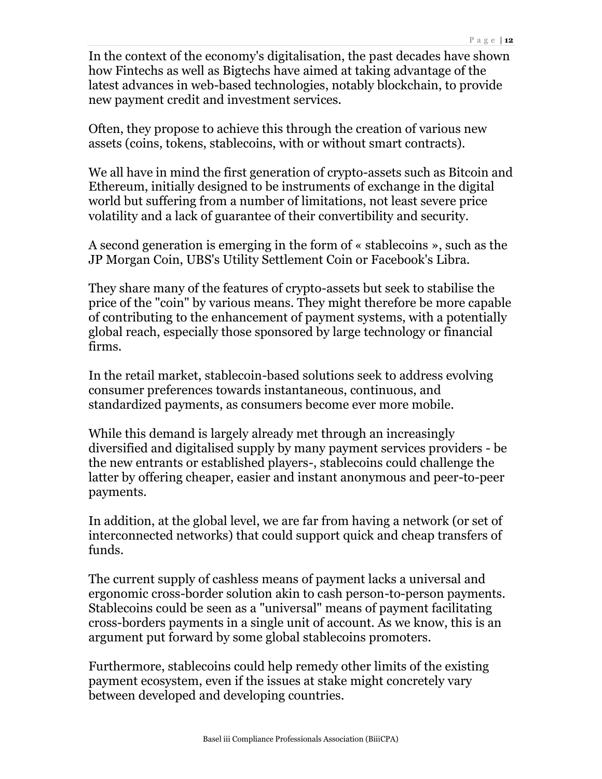In the context of the economy's digitalisation, the past decades have shown how Fintechs as well as Bigtechs have aimed at taking advantage of the latest advances in web-based technologies, notably blockchain, to provide new payment credit and investment services.

Often, they propose to achieve this through the creation of various new assets (coins, tokens, stablecoins, with or without smart contracts).

We all have in mind the first generation of crypto-assets such as Bitcoin and Ethereum, initially designed to be instruments of exchange in the digital world but suffering from a number of limitations, not least severe price volatility and a lack of guarantee of their convertibility and security.

A second generation is emerging in the form of « stablecoins », such as the JP Morgan Coin, UBS's Utility Settlement Coin or Facebook's Libra.

They share many of the features of crypto-assets but seek to stabilise the price of the "coin" by various means. They might therefore be more capable of contributing to the enhancement of payment systems, with a potentially global reach, especially those sponsored by large technology or financial firms.

In the retail market, stablecoin-based solutions seek to address evolving consumer preferences towards instantaneous, continuous, and standardized payments, as consumers become ever more mobile.

While this demand is largely already met through an increasingly diversified and digitalised supply by many payment services providers - be the new entrants or established players-, stablecoins could challenge the latter by offering cheaper, easier and instant anonymous and peer-to-peer payments.

In addition, at the global level, we are far from having a network (or set of interconnected networks) that could support quick and cheap transfers of funds.

The current supply of cashless means of payment lacks a universal and ergonomic cross-border solution akin to cash person-to-person payments. Stablecoins could be seen as a "universal" means of payment facilitating cross-borders payments in a single unit of account. As we know, this is an argument put forward by some global stablecoins promoters.

Furthermore, stablecoins could help remedy other limits of the existing payment ecosystem, even if the issues at stake might concretely vary between developed and developing countries.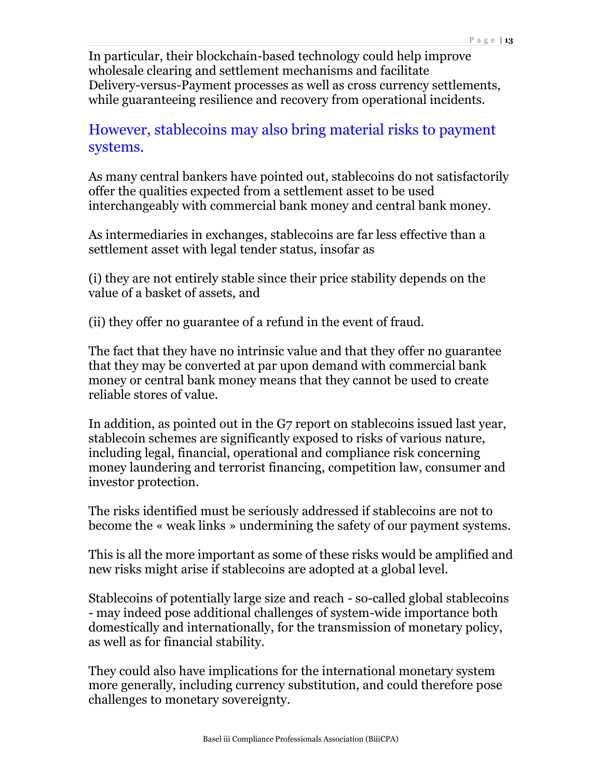In particular, their blockchain-based technology could help improve wholesale clearing and settlement mechanisms and facilitate Delivery-versus-Payment processes as well as cross currency settlements, while guaranteeing resilience and recovery from operational incidents.

### However, stablecoins may also bring material risks to payment systems.

As many central bankers have pointed out, stablecoins do not satisfactorily offer the qualities expected from a settlement asset to be used interchangeably with commercial bank money and central bank money.

As intermediaries in exchanges, stablecoins are far less effective than a settlement asset with legal tender status, insofar as

(i) they are not entirely stable since their price stability depends on the value of a basket of assets, and

(ii) they offer no guarantee of a refund in the event of fraud.

The fact that they have no intrinsic value and that they offer no guarantee that they may be converted at par upon demand with commercial bank money or central bank money means that they cannot be used to create reliable stores of value.

In addition, as pointed out in the G7 report on stablecoins issued last year, stablecoin schemes are significantly exposed to risks of various nature, including legal, financial, operational and compliance risk concerning money laundering and terrorist financing, competition law, consumer and investor protection.

The risks identified must be seriously addressed if stablecoins are not to become the « weak links » undermining the safety of our payment systems.

This is all the more important as some of these risks would be amplified and new risks might arise if stablecoins are adopted at a global level.

Stablecoins of potentially large size and reach - so-called global stablecoins - may indeed pose additional challenges of system-wide importance both domestically and internationally, for the transmission of monetary policy, as well as for financial stability.

They could also have implications for the international monetary system more generally, including currency substitution, and could therefore pose challenges to monetary sovereignty.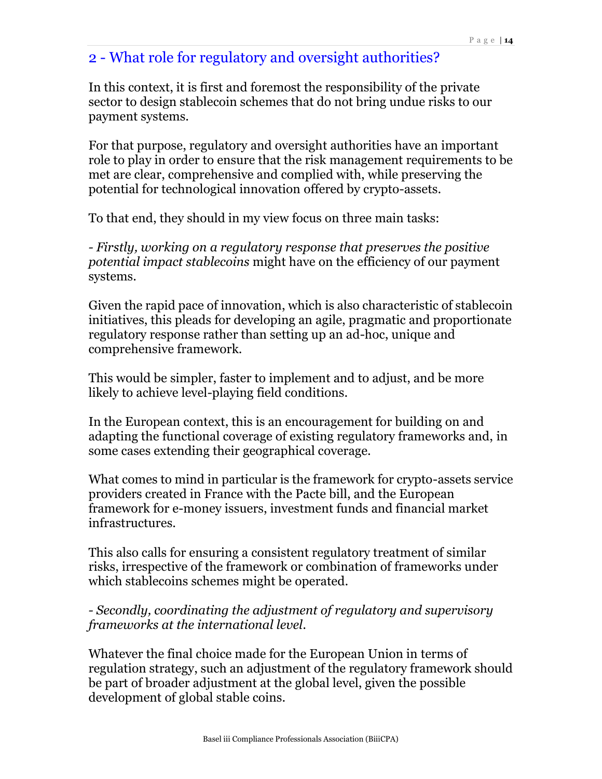# 2 - What role for regulatory and oversight authorities?

In this context, it is first and foremost the responsibility of the private sector to design stablecoin schemes that do not bring undue risks to our payment systems.

For that purpose, regulatory and oversight authorities have an important role to play in order to ensure that the risk management requirements to be met are clear, comprehensive and complied with, while preserving the potential for technological innovation offered by crypto-assets.

To that end, they should in my view focus on three main tasks:

*- Firstly, working on a regulatory response that preserves the positive potential impact stablecoins* might have on the efficiency of our payment systems.

Given the rapid pace of innovation, which is also characteristic of stablecoin initiatives, this pleads for developing an agile, pragmatic and proportionate regulatory response rather than setting up an ad-hoc, unique and comprehensive framework.

This would be simpler, faster to implement and to adjust, and be more likely to achieve level-playing field conditions.

In the European context, this is an encouragement for building on and adapting the functional coverage of existing regulatory frameworks and, in some cases extending their geographical coverage.

What comes to mind in particular is the framework for crypto-assets service providers created in France with the Pacte bill, and the European framework for e-money issuers, investment funds and financial market infrastructures.

This also calls for ensuring a consistent regulatory treatment of similar risks, irrespective of the framework or combination of frameworks under which stablecoins schemes might be operated.

*- Secondly, coordinating the adjustment of regulatory and supervisory frameworks at the international level.*

Whatever the final choice made for the European Union in terms of regulation strategy, such an adjustment of the regulatory framework should be part of broader adjustment at the global level, given the possible development of global stable coins.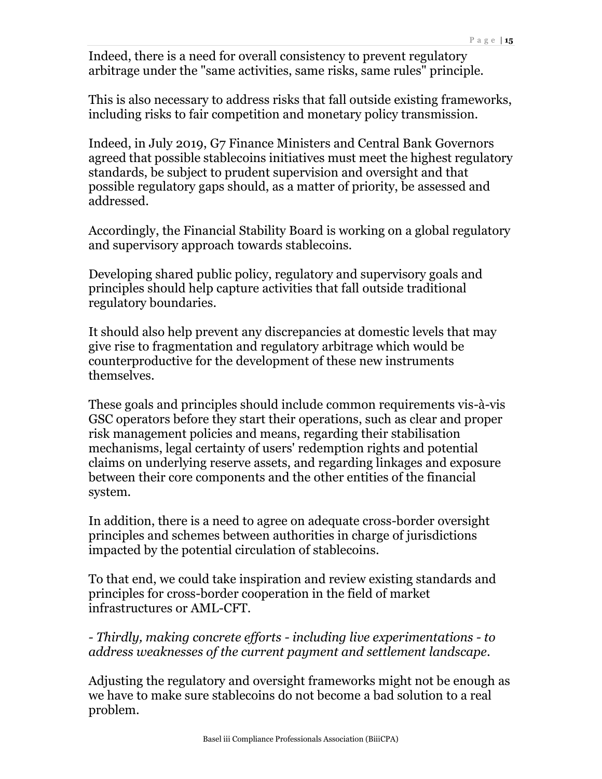Indeed, there is a need for overall consistency to prevent regulatory arbitrage under the "same activities, same risks, same rules" principle.

This is also necessary to address risks that fall outside existing frameworks, including risks to fair competition and monetary policy transmission.

Indeed, in July 2019, G7 Finance Ministers and Central Bank Governors agreed that possible stablecoins initiatives must meet the highest regulatory standards, be subject to prudent supervision and oversight and that possible regulatory gaps should, as a matter of priority, be assessed and addressed.

Accordingly, the Financial Stability Board is working on a global regulatory and supervisory approach towards stablecoins.

Developing shared public policy, regulatory and supervisory goals and principles should help capture activities that fall outside traditional regulatory boundaries.

It should also help prevent any discrepancies at domestic levels that may give rise to fragmentation and regulatory arbitrage which would be counterproductive for the development of these new instruments themselves.

These goals and principles should include common requirements vis-à-vis GSC operators before they start their operations, such as clear and proper risk management policies and means, regarding their stabilisation mechanisms, legal certainty of users' redemption rights and potential claims on underlying reserve assets, and regarding linkages and exposure between their core components and the other entities of the financial system.

In addition, there is a need to agree on adequate cross-border oversight principles and schemes between authorities in charge of jurisdictions impacted by the potential circulation of stablecoins.

To that end, we could take inspiration and review existing standards and principles for cross-border cooperation in the field of market infrastructures or AML-CFT.

*- Thirdly, making concrete efforts - including live experimentations - to address weaknesses of the current payment and settlement landscape.*

Adjusting the regulatory and oversight frameworks might not be enough as we have to make sure stablecoins do not become a bad solution to a real problem.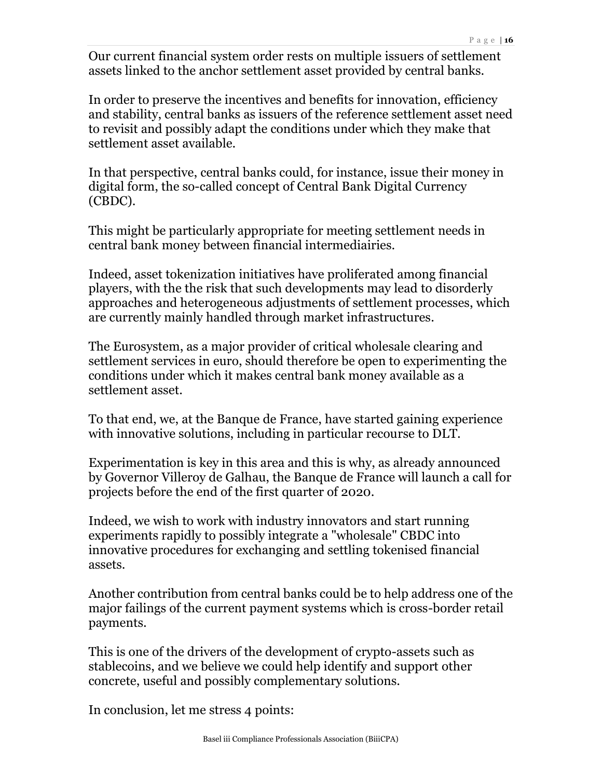Our current financial system order rests on multiple issuers of settlement assets linked to the anchor settlement asset provided by central banks.

In order to preserve the incentives and benefits for innovation, efficiency and stability, central banks as issuers of the reference settlement asset need to revisit and possibly adapt the conditions under which they make that settlement asset available.

In that perspective, central banks could, for instance, issue their money in digital form, the so-called concept of Central Bank Digital Currency (CBDC).

This might be particularly appropriate for meeting settlement needs in central bank money between financial intermediairies.

Indeed, asset tokenization initiatives have proliferated among financial players, with the the risk that such developments may lead to disorderly approaches and heterogeneous adjustments of settlement processes, which are currently mainly handled through market infrastructures.

The Eurosystem, as a major provider of critical wholesale clearing and settlement services in euro, should therefore be open to experimenting the conditions under which it makes central bank money available as a settlement asset.

To that end, we, at the Banque de France, have started gaining experience with innovative solutions, including in particular recourse to DLT.

Experimentation is key in this area and this is why, as already announced by Governor Villeroy de Galhau, the Banque de France will launch a call for projects before the end of the first quarter of 2020.

Indeed, we wish to work with industry innovators and start running experiments rapidly to possibly integrate a "wholesale" CBDC into innovative procedures for exchanging and settling tokenised financial assets.

Another contribution from central banks could be to help address one of the major failings of the current payment systems which is cross-border retail payments.

This is one of the drivers of the development of crypto-assets such as stablecoins, and we believe we could help identify and support other concrete, useful and possibly complementary solutions.

In conclusion, let me stress 4 points: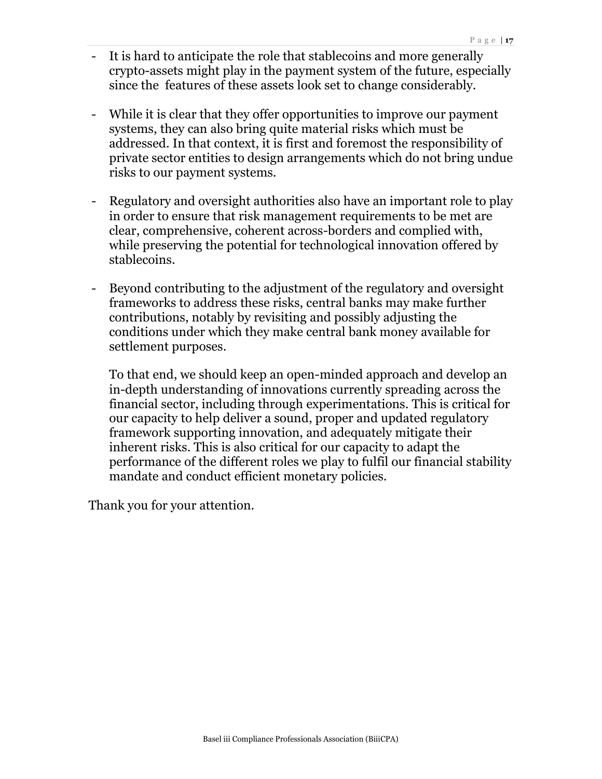- It is hard to anticipate the role that stablecoins and more generally crypto-assets might play in the payment system of the future, especially since the features of these assets look set to change considerably.
- While it is clear that they offer opportunities to improve our payment systems, they can also bring quite material risks which must be addressed. In that context, it is first and foremost the responsibility of private sector entities to design arrangements which do not bring undue risks to our payment systems.
- Regulatory and oversight authorities also have an important role to play in order to ensure that risk management requirements to be met are clear, comprehensive, coherent across-borders and complied with, while preserving the potential for technological innovation offered by stablecoins.
- Beyond contributing to the adjustment of the regulatory and oversight frameworks to address these risks, central banks may make further contributions, notably by revisiting and possibly adjusting the conditions under which they make central bank money available for settlement purposes.

To that end, we should keep an open-minded approach and develop an in-depth understanding of innovations currently spreading across the financial sector, including through experimentations. This is critical for our capacity to help deliver a sound, proper and updated regulatory framework supporting innovation, and adequately mitigate their inherent risks. This is also critical for our capacity to adapt the performance of the different roles we play to fulfil our financial stability mandate and conduct efficient monetary policies.

Thank you for your attention.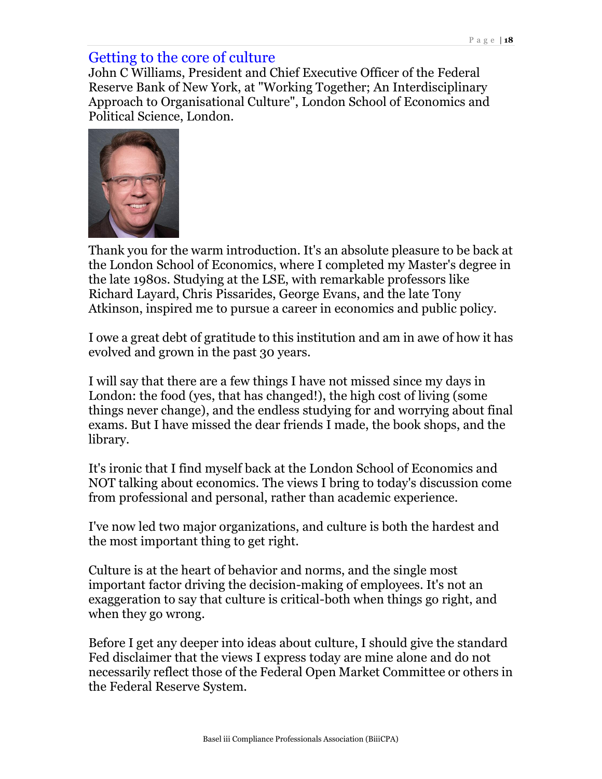### Getting to the core of culture

John C Williams, President and Chief Executive Officer of the Federal Reserve Bank of New York, at "Working Together; An Interdisciplinary Approach to Organisational Culture", London School of Economics and Political Science, London.



Thank you for the warm introduction. It's an absolute pleasure to be back at the London School of Economics, where I completed my Master's degree in the late 1980s. Studying at the LSE, with remarkable professors like Richard Layard, Chris Pissarides, George Evans, and the late Tony Atkinson, inspired me to pursue a career in economics and public policy.

I owe a great debt of gratitude to this institution and am in awe of how it has evolved and grown in the past 30 years.

I will say that there are a few things I have not missed since my days in London: the food (yes, that has changed!), the high cost of living (some things never change), and the endless studying for and worrying about final exams. But I have missed the dear friends I made, the book shops, and the library.

It's ironic that I find myself back at the London School of Economics and NOT talking about economics. The views I bring to today's discussion come from professional and personal, rather than academic experience.

I've now led two major organizations, and culture is both the hardest and the most important thing to get right.

Culture is at the heart of behavior and norms, and the single most important factor driving the decision-making of employees. It's not an exaggeration to say that culture is critical-both when things go right, and when they go wrong.

Before I get any deeper into ideas about culture, I should give the standard Fed disclaimer that the views I express today are mine alone and do not necessarily reflect those of the Federal Open Market Committee or others in the Federal Reserve System.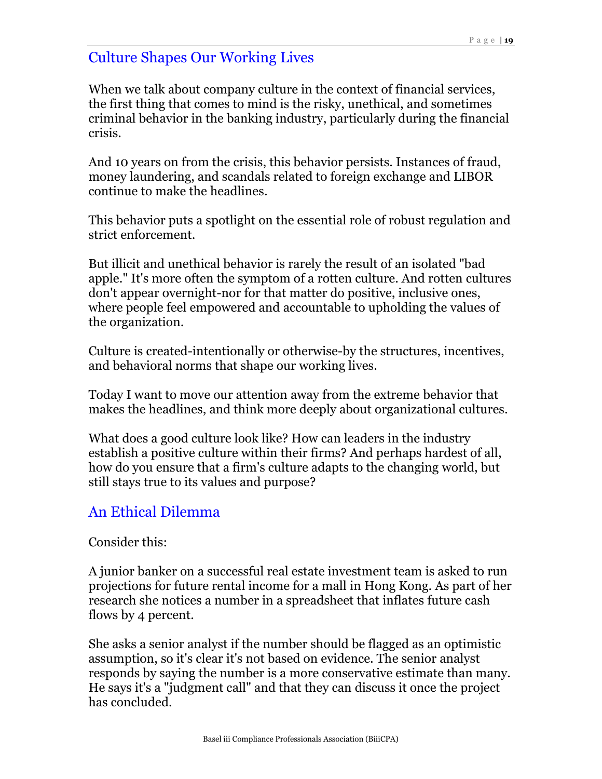### Culture Shapes Our Working Lives

When we talk about company culture in the context of financial services, the first thing that comes to mind is the risky, unethical, and sometimes criminal behavior in the banking industry, particularly during the financial crisis.

And 10 years on from the crisis, this behavior persists. Instances of fraud, money laundering, and scandals related to foreign exchange and LIBOR continue to make the headlines.

This behavior puts a spotlight on the essential role of robust regulation and strict enforcement.

But illicit and unethical behavior is rarely the result of an isolated "bad apple." It's more often the symptom of a rotten culture. And rotten cultures don't appear overnight-nor for that matter do positive, inclusive ones, where people feel empowered and accountable to upholding the values of the organization.

Culture is created-intentionally or otherwise-by the structures, incentives, and behavioral norms that shape our working lives.

Today I want to move our attention away from the extreme behavior that makes the headlines, and think more deeply about organizational cultures.

What does a good culture look like? How can leaders in the industry establish a positive culture within their firms? And perhaps hardest of all, how do you ensure that a firm's culture adapts to the changing world, but still stays true to its values and purpose?

# An Ethical Dilemma

#### Consider this:

A junior banker on a successful real estate investment team is asked to run projections for future rental income for a mall in Hong Kong. As part of her research she notices a number in a spreadsheet that inflates future cash flows by 4 percent.

She asks a senior analyst if the number should be flagged as an optimistic assumption, so it's clear it's not based on evidence. The senior analyst responds by saying the number is a more conservative estimate than many. He says it's a "judgment call" and that they can discuss it once the project has concluded.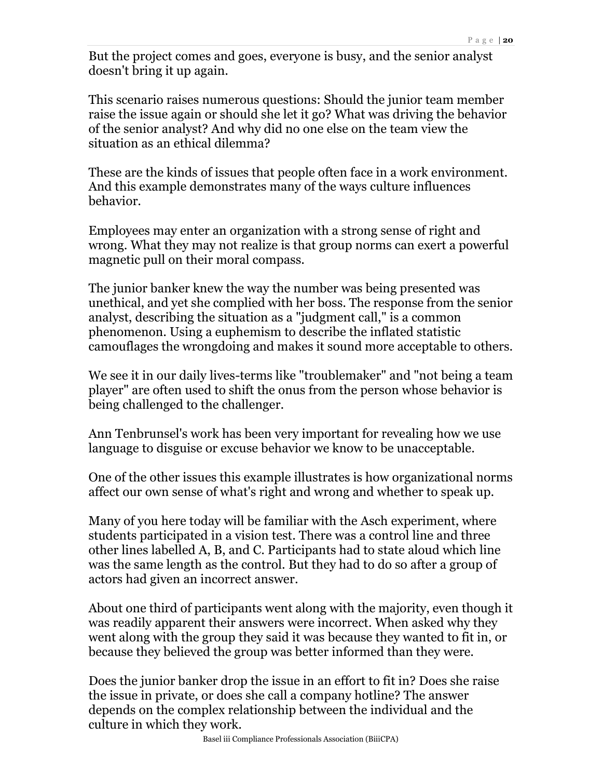But the project comes and goes, everyone is busy, and the senior analyst doesn't bring it up again.

This scenario raises numerous questions: Should the junior team member raise the issue again or should she let it go? What was driving the behavior of the senior analyst? And why did no one else on the team view the situation as an ethical dilemma?

These are the kinds of issues that people often face in a work environment. And this example demonstrates many of the ways culture influences behavior.

Employees may enter an organization with a strong sense of right and wrong. What they may not realize is that group norms can exert a powerful magnetic pull on their moral compass.

The junior banker knew the way the number was being presented was unethical, and yet she complied with her boss. The response from the senior analyst, describing the situation as a "judgment call," is a common phenomenon. Using a euphemism to describe the inflated statistic camouflages the wrongdoing and makes it sound more acceptable to others.

We see it in our daily lives-terms like "troublemaker" and "not being a team player" are often used to shift the onus from the person whose behavior is being challenged to the challenger.

Ann Tenbrunsel's work has been very important for revealing how we use language to disguise or excuse behavior we know to be unacceptable.

One of the other issues this example illustrates is how organizational norms affect our own sense of what's right and wrong and whether to speak up.

Many of you here today will be familiar with the Asch experiment, where students participated in a vision test. There was a control line and three other lines labelled A, B, and C. Participants had to state aloud which line was the same length as the control. But they had to do so after a group of actors had given an incorrect answer.

About one third of participants went along with the majority, even though it was readily apparent their answers were incorrect. When asked why they went along with the group they said it was because they wanted to fit in, or because they believed the group was better informed than they were.

Does the junior banker drop the issue in an effort to fit in? Does she raise the issue in private, or does she call a company hotline? The answer depends on the complex relationship between the individual and the culture in which they work.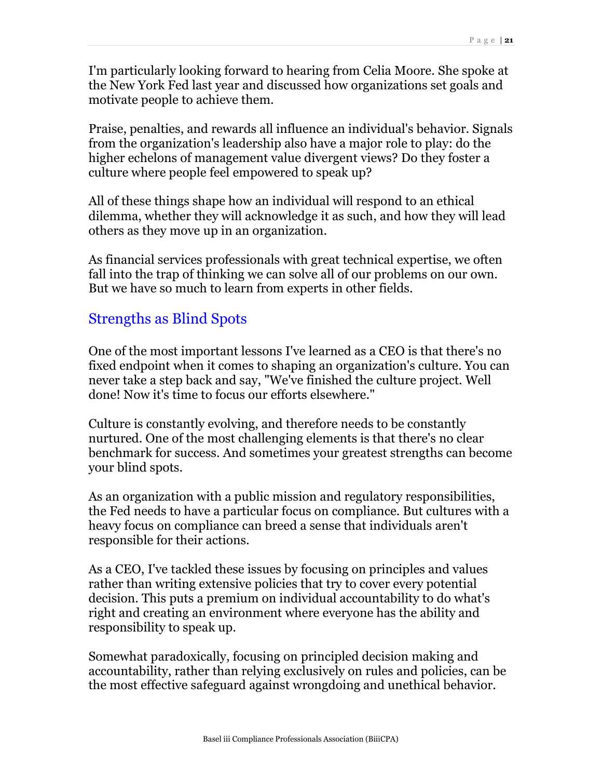I'm particularly looking forward to hearing from Celia Moore. She spoke at the New York Fed last year and discussed how organizations set goals and motivate people to achieve them.

Praise, penalties, and rewards all influence an individual's behavior. Signals from the organization's leadership also have a major role to play: do the higher echelons of management value divergent views? Do they foster a culture where people feel empowered to speak up?

All of these things shape how an individual will respond to an ethical dilemma, whether they will acknowledge it as such, and how they will lead others as they move up in an organization.

As financial services professionals with great technical expertise, we often fall into the trap of thinking we can solve all of our problems on our own. But we have so much to learn from experts in other fields.

# Strengths as Blind Spots

One of the most important lessons I've learned as a CEO is that there's no fixed endpoint when it comes to shaping an organization's culture. You can never take a step back and say, "We've finished the culture project. Well done! Now it's time to focus our efforts elsewhere."

Culture is constantly evolving, and therefore needs to be constantly nurtured. One of the most challenging elements is that there's no clear benchmark for success. And sometimes your greatest strengths can become your blind spots.

As an organization with a public mission and regulatory responsibilities, the Fed needs to have a particular focus on compliance. But cultures with a heavy focus on compliance can breed a sense that individuals aren't responsible for their actions.

As a CEO, I've tackled these issues by focusing on principles and values rather than writing extensive policies that try to cover every potential decision. This puts a premium on individual accountability to do what's right and creating an environment where everyone has the ability and responsibility to speak up.

Somewhat paradoxically, focusing on principled decision making and accountability, rather than relying exclusively on rules and policies, can be the most effective safeguard against wrongdoing and unethical behavior.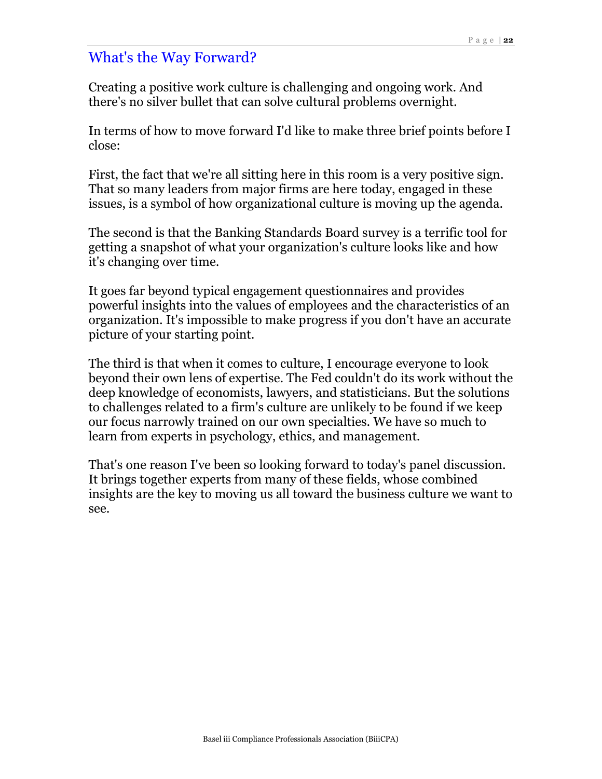#### What's the Way Forward?

Creating a positive work culture is challenging and ongoing work. And there's no silver bullet that can solve cultural problems overnight.

In terms of how to move forward I'd like to make three brief points before I close:

First, the fact that we're all sitting here in this room is a very positive sign. That so many leaders from major firms are here today, engaged in these issues, is a symbol of how organizational culture is moving up the agenda.

The second is that the Banking Standards Board survey is a terrific tool for getting a snapshot of what your organization's culture looks like and how it's changing over time.

It goes far beyond typical engagement questionnaires and provides powerful insights into the values of employees and the characteristics of an organization. It's impossible to make progress if you don't have an accurate picture of your starting point.

The third is that when it comes to culture, I encourage everyone to look beyond their own lens of expertise. The Fed couldn't do its work without the deep knowledge of economists, lawyers, and statisticians. But the solutions to challenges related to a firm's culture are unlikely to be found if we keep our focus narrowly trained on our own specialties. We have so much to learn from experts in psychology, ethics, and management.

That's one reason I've been so looking forward to today's panel discussion. It brings together experts from many of these fields, whose combined insights are the key to moving us all toward the business culture we want to see.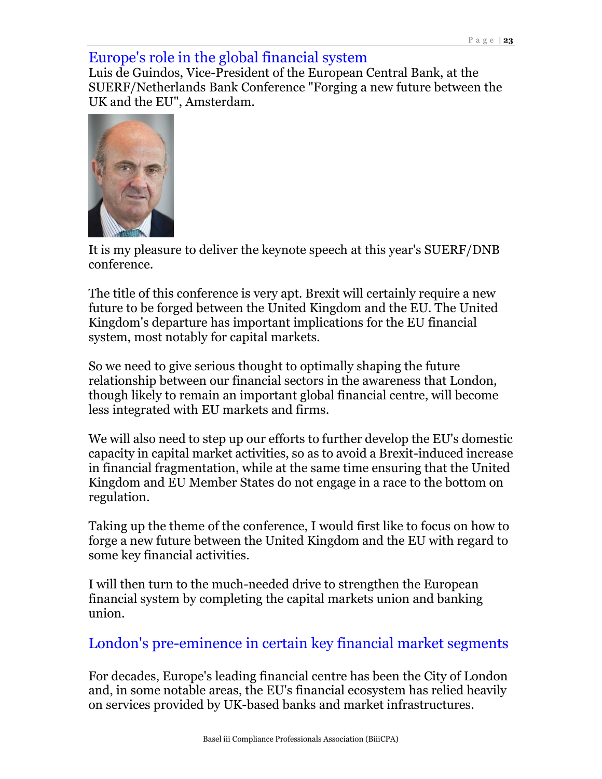#### Europe's role in the global financial system

Luis de Guindos, Vice-President of the European Central Bank, at the SUERF/Netherlands Bank Conference "Forging a new future between the UK and the EU", Amsterdam.



It is my pleasure to deliver the keynote speech at this year's SUERF/DNB conference.

The title of this conference is very apt. Brexit will certainly require a new future to be forged between the United Kingdom and the EU. The United Kingdom's departure has important implications for the EU financial system, most notably for capital markets.

So we need to give serious thought to optimally shaping the future relationship between our financial sectors in the awareness that London, though likely to remain an important global financial centre, will become less integrated with EU markets and firms.

We will also need to step up our efforts to further develop the EU's domestic capacity in capital market activities, so as to avoid a Brexit-induced increase in financial fragmentation, while at the same time ensuring that the United Kingdom and EU Member States do not engage in a race to the bottom on regulation.

Taking up the theme of the conference, I would first like to focus on how to forge a new future between the United Kingdom and the EU with regard to some key financial activities.

I will then turn to the much-needed drive to strengthen the European financial system by completing the capital markets union and banking union.

### London's pre-eminence in certain key financial market segments

For decades, Europe's leading financial centre has been the City of London and, in some notable areas, the EU's financial ecosystem has relied heavily on services provided by UK-based banks and market infrastructures.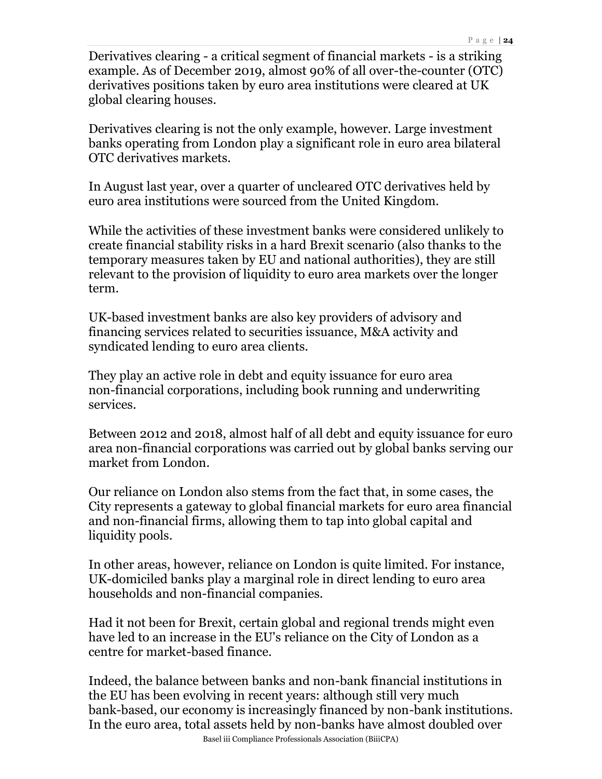Derivatives clearing - a critical segment of financial markets - is a striking example. As of December 2019, almost 90% of all over-the-counter (OTC) derivatives positions taken by euro area institutions were cleared at UK global clearing houses.

Derivatives clearing is not the only example, however. Large investment banks operating from London play a significant role in euro area bilateral OTC derivatives markets.

In August last year, over a quarter of uncleared OTC derivatives held by euro area institutions were sourced from the United Kingdom.

While the activities of these investment banks were considered unlikely to create financial stability risks in a hard Brexit scenario (also thanks to the temporary measures taken by EU and national authorities), they are still relevant to the provision of liquidity to euro area markets over the longer term.

UK-based investment banks are also key providers of advisory and financing services related to securities issuance, M&A activity and syndicated lending to euro area clients.

They play an active role in debt and equity issuance for euro area non-financial corporations, including book running and underwriting services.

Between 2012 and 2018, almost half of all debt and equity issuance for euro area non-financial corporations was carried out by global banks serving our market from London.

Our reliance on London also stems from the fact that, in some cases, the City represents a gateway to global financial markets for euro area financial and non-financial firms, allowing them to tap into global capital and liquidity pools.

In other areas, however, reliance on London is quite limited. For instance, UK-domiciled banks play a marginal role in direct lending to euro area households and non-financial companies.

Had it not been for Brexit, certain global and regional trends might even have led to an increase in the EU's reliance on the City of London as a centre for market-based finance.

Indeed, the balance between banks and non-bank financial institutions in the EU has been evolving in recent years: although still very much bank-based, our economy is increasingly financed by non-bank institutions. In the euro area, total assets held by non-banks have almost doubled over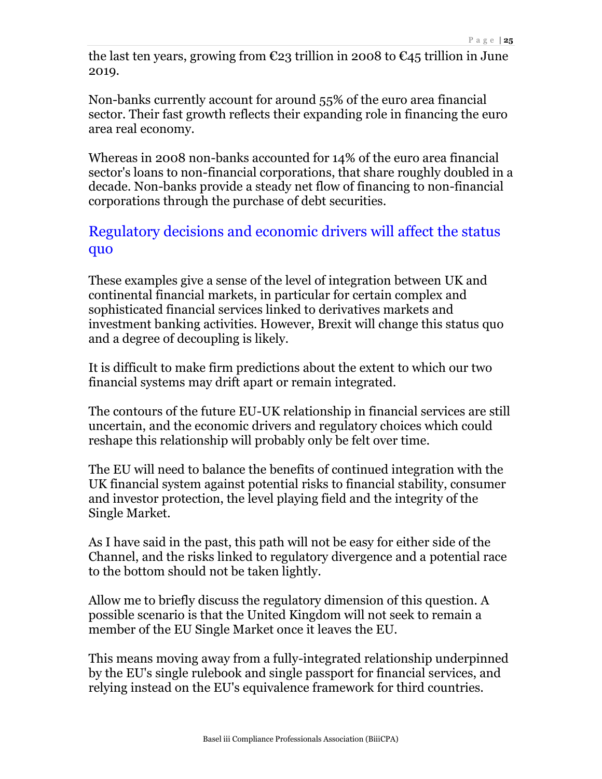the last ten years, growing from  $\epsilon_{23}$  trillion in 2008 to  $\epsilon_{45}$  trillion in June 2019.

Non-banks currently account for around 55% of the euro area financial sector. Their fast growth reflects their expanding role in financing the euro area real economy.

Whereas in 2008 non-banks accounted for 14% of the euro area financial sector's loans to non-financial corporations, that share roughly doubled in a decade. Non-banks provide a steady net flow of financing to non-financial corporations through the purchase of debt securities.

# Regulatory decisions and economic drivers will affect the status quo

These examples give a sense of the level of integration between UK and continental financial markets, in particular for certain complex and sophisticated financial services linked to derivatives markets and investment banking activities. However, Brexit will change this status quo and a degree of decoupling is likely.

It is difficult to make firm predictions about the extent to which our two financial systems may drift apart or remain integrated.

The contours of the future EU-UK relationship in financial services are still uncertain, and the economic drivers and regulatory choices which could reshape this relationship will probably only be felt over time.

The EU will need to balance the benefits of continued integration with the UK financial system against potential risks to financial stability, consumer and investor protection, the level playing field and the integrity of the Single Market.

As I have said in the past, this path will not be easy for either side of the Channel, and the risks linked to regulatory divergence and a potential race to the bottom should not be taken lightly.

Allow me to briefly discuss the regulatory dimension of this question. A possible scenario is that the United Kingdom will not seek to remain a member of the EU Single Market once it leaves the EU.

This means moving away from a fully-integrated relationship underpinned by the EU's single rulebook and single passport for financial services, and relying instead on the EU's equivalence framework for third countries.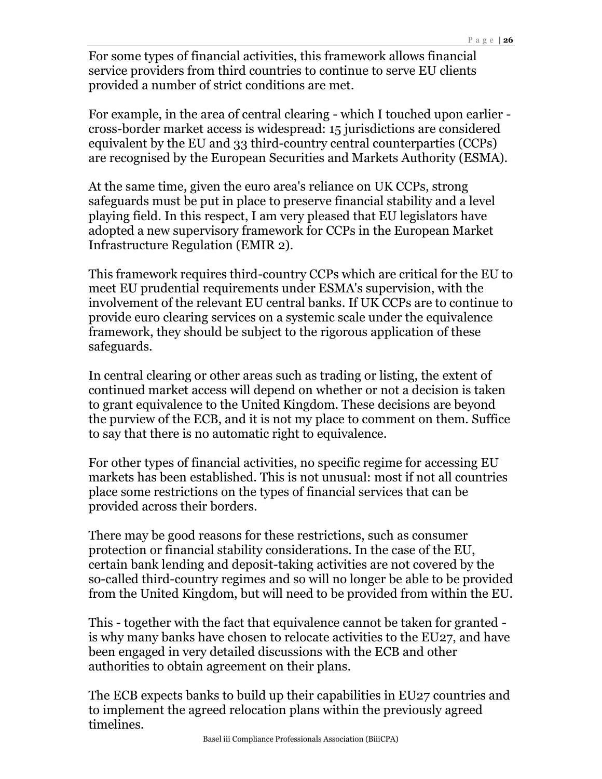For some types of financial activities, this framework allows financial service providers from third countries to continue to serve EU clients provided a number of strict conditions are met.

For example, in the area of central clearing - which I touched upon earlier cross-border market access is widespread: 15 jurisdictions are considered equivalent by the EU and 33 third-country central counterparties (CCPs) are recognised by the European Securities and Markets Authority (ESMA).

At the same time, given the euro area's reliance on UK CCPs, strong safeguards must be put in place to preserve financial stability and a level playing field. In this respect, I am very pleased that EU legislators have adopted a new supervisory framework for CCPs in the European Market Infrastructure Regulation (EMIR 2).

This framework requires third-country CCPs which are critical for the EU to meet EU prudential requirements under ESMA's supervision, with the involvement of the relevant EU central banks. If UK CCPs are to continue to provide euro clearing services on a systemic scale under the equivalence framework, they should be subject to the rigorous application of these safeguards.

In central clearing or other areas such as trading or listing, the extent of continued market access will depend on whether or not a decision is taken to grant equivalence to the United Kingdom. These decisions are beyond the purview of the ECB, and it is not my place to comment on them. Suffice to say that there is no automatic right to equivalence.

For other types of financial activities, no specific regime for accessing EU markets has been established. This is not unusual: most if not all countries place some restrictions on the types of financial services that can be provided across their borders.

There may be good reasons for these restrictions, such as consumer protection or financial stability considerations. In the case of the EU, certain bank lending and deposit-taking activities are not covered by the so-called third-country regimes and so will no longer be able to be provided from the United Kingdom, but will need to be provided from within the EU.

This - together with the fact that equivalence cannot be taken for granted is why many banks have chosen to relocate activities to the EU27, and have been engaged in very detailed discussions with the ECB and other authorities to obtain agreement on their plans.

The ECB expects banks to build up their capabilities in EU27 countries and to implement the agreed relocation plans within the previously agreed timelines.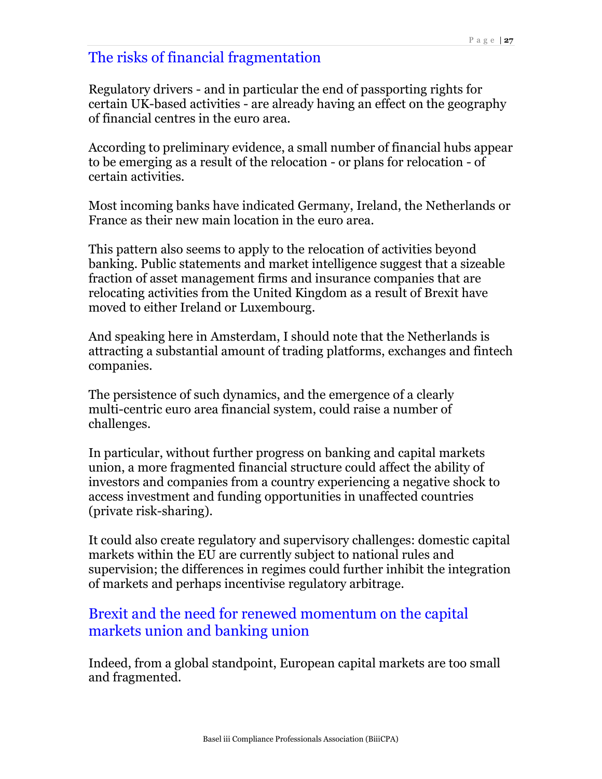### The risks of financial fragmentation

Regulatory drivers - and in particular the end of passporting rights for certain UK-based activities - are already having an effect on the geography of financial centres in the euro area.

According to preliminary evidence, a small number of financial hubs appear to be emerging as a result of the relocation - or plans for relocation - of certain activities.

Most incoming banks have indicated Germany, Ireland, the Netherlands or France as their new main location in the euro area.

This pattern also seems to apply to the relocation of activities beyond banking. Public statements and market intelligence suggest that a sizeable fraction of asset management firms and insurance companies that are relocating activities from the United Kingdom as a result of Brexit have moved to either Ireland or Luxembourg.

And speaking here in Amsterdam, I should note that the Netherlands is attracting a substantial amount of trading platforms, exchanges and fintech companies.

The persistence of such dynamics, and the emergence of a clearly multi-centric euro area financial system, could raise a number of challenges.

In particular, without further progress on banking and capital markets union, a more fragmented financial structure could affect the ability of investors and companies from a country experiencing a negative shock to access investment and funding opportunities in unaffected countries (private risk-sharing).

It could also create regulatory and supervisory challenges: domestic capital markets within the EU are currently subject to national rules and supervision; the differences in regimes could further inhibit the integration of markets and perhaps incentivise regulatory arbitrage.

# Brexit and the need for renewed momentum on the capital markets union and banking union

Indeed, from a global standpoint, European capital markets are too small and fragmented.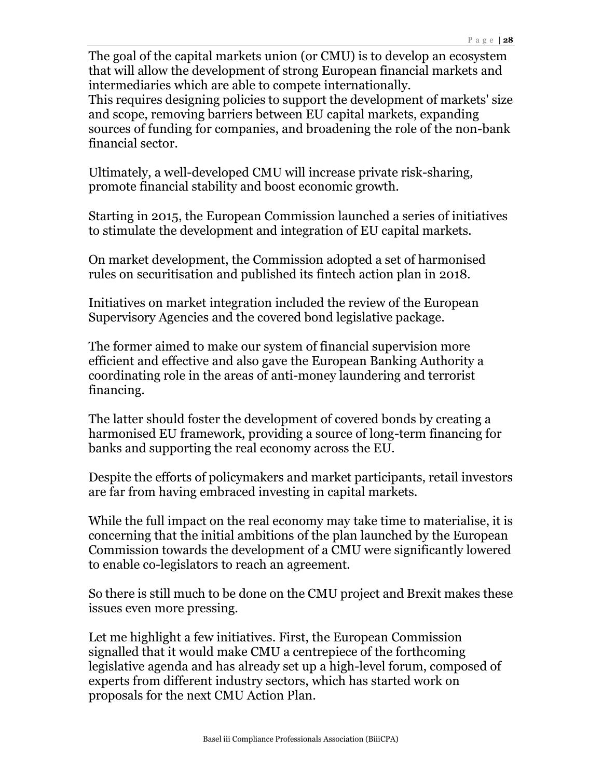The goal of the capital markets union (or CMU) is to develop an ecosystem that will allow the development of strong European financial markets and intermediaries which are able to compete internationally.

This requires designing policies to support the development of markets' size and scope, removing barriers between EU capital markets, expanding sources of funding for companies, and broadening the role of the non-bank financial sector.

Ultimately, a well-developed CMU will increase private risk-sharing, promote financial stability and boost economic growth.

Starting in 2015, the European Commission launched a series of initiatives to stimulate the development and integration of EU capital markets.

On market development, the Commission adopted a set of harmonised rules on securitisation and published its fintech action plan in 2018.

Initiatives on market integration included the review of the European Supervisory Agencies and the covered bond legislative package.

The former aimed to make our system of financial supervision more efficient and effective and also gave the European Banking Authority a coordinating role in the areas of anti-money laundering and terrorist financing.

The latter should foster the development of covered bonds by creating a harmonised EU framework, providing a source of long-term financing for banks and supporting the real economy across the EU.

Despite the efforts of policymakers and market participants, retail investors are far from having embraced investing in capital markets.

While the full impact on the real economy may take time to materialise, it is concerning that the initial ambitions of the plan launched by the European Commission towards the development of a CMU were significantly lowered to enable co-legislators to reach an agreement.

So there is still much to be done on the CMU project and Brexit makes these issues even more pressing.

Let me highlight a few initiatives. First, the European Commission signalled that it would make CMU a centrepiece of the forthcoming legislative agenda and has already set up a high-level forum, composed of experts from different industry sectors, which has started work on proposals for the next CMU Action Plan.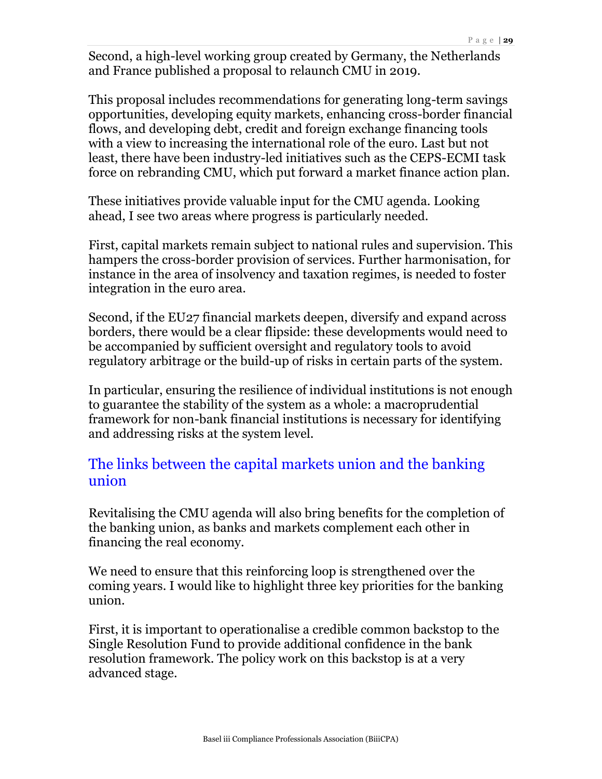Second, a high-level working group created by Germany, the Netherlands and France published a proposal to relaunch CMU in 2019.

This proposal includes recommendations for generating long-term savings opportunities, developing equity markets, enhancing cross-border financial flows, and developing debt, credit and foreign exchange financing tools with a view to increasing the international role of the euro. Last but not least, there have been industry-led initiatives such as the CEPS-ECMI task force on rebranding CMU, which put forward a market finance action plan.

These initiatives provide valuable input for the CMU agenda. Looking ahead, I see two areas where progress is particularly needed.

First, capital markets remain subject to national rules and supervision. This hampers the cross-border provision of services. Further harmonisation, for instance in the area of insolvency and taxation regimes, is needed to foster integration in the euro area.

Second, if the EU27 financial markets deepen, diversify and expand across borders, there would be a clear flipside: these developments would need to be accompanied by sufficient oversight and regulatory tools to avoid regulatory arbitrage or the build-up of risks in certain parts of the system.

In particular, ensuring the resilience of individual institutions is not enough to guarantee the stability of the system as a whole: a macroprudential framework for non-bank financial institutions is necessary for identifying and addressing risks at the system level.

#### The links between the capital markets union and the banking union

Revitalising the CMU agenda will also bring benefits for the completion of the banking union, as banks and markets complement each other in financing the real economy.

We need to ensure that this reinforcing loop is strengthened over the coming years. I would like to highlight three key priorities for the banking union.

First, it is important to operationalise a credible common backstop to the Single Resolution Fund to provide additional confidence in the bank resolution framework. The policy work on this backstop is at a very advanced stage.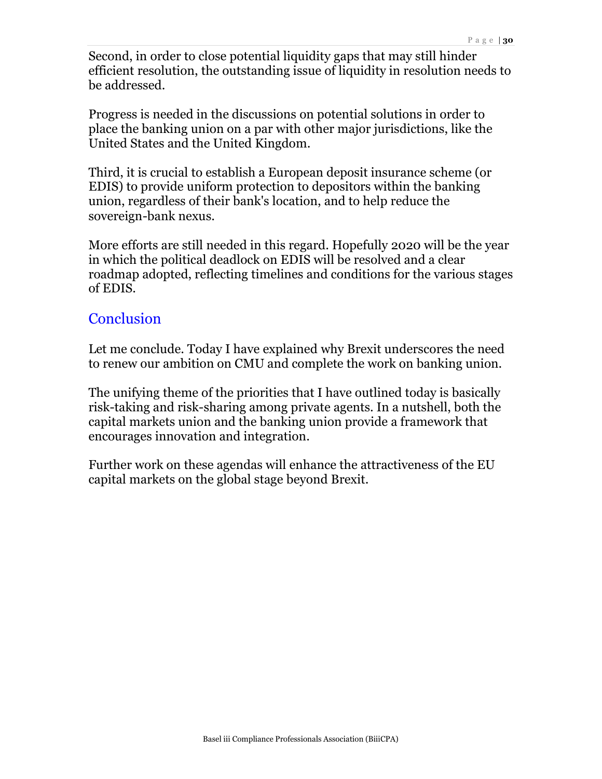Second, in order to close potential liquidity gaps that may still hinder efficient resolution, the outstanding issue of liquidity in resolution needs to be addressed.

Progress is needed in the discussions on potential solutions in order to place the banking union on a par with other major jurisdictions, like the United States and the United Kingdom.

Third, it is crucial to establish a European deposit insurance scheme (or EDIS) to provide uniform protection to depositors within the banking union, regardless of their bank's location, and to help reduce the sovereign-bank nexus.

More efforts are still needed in this regard. Hopefully 2020 will be the year in which the political deadlock on EDIS will be resolved and a clear roadmap adopted, reflecting timelines and conditions for the various stages of EDIS.

#### **Conclusion**

Let me conclude. Today I have explained why Brexit underscores the need to renew our ambition on CMU and complete the work on banking union.

The unifying theme of the priorities that I have outlined today is basically risk-taking and risk-sharing among private agents. In a nutshell, both the capital markets union and the banking union provide a framework that encourages innovation and integration.

Further work on these agendas will enhance the attractiveness of the EU capital markets on the global stage beyond Brexit.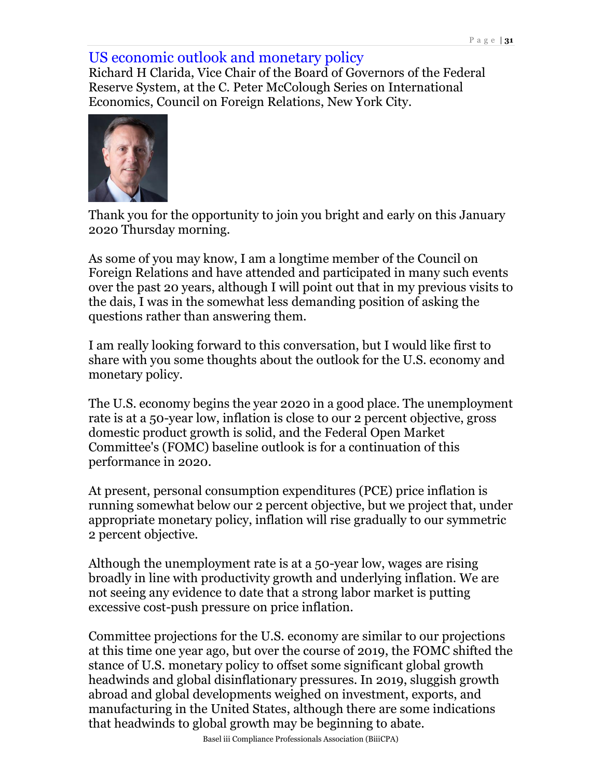#### US economic outlook and monetary policy

Richard H Clarida, Vice Chair of the Board of Governors of the Federal Reserve System, at the C. Peter McColough Series on International Economics, Council on Foreign Relations, New York City.



Thank you for the opportunity to join you bright and early on this January 2020 Thursday morning.

As some of you may know, I am a longtime member of the Council on Foreign Relations and have attended and participated in many such events over the past 20 years, although I will point out that in my previous visits to the dais, I was in the somewhat less demanding position of asking the questions rather than answering them.

I am really looking forward to this conversation, but I would like first to share with you some thoughts about the outlook for the U.S. economy and monetary policy.

The U.S. economy begins the year 2020 in a good place. The unemployment rate is at a 50-year low, inflation is close to our 2 percent objective, gross domestic product growth is solid, and the Federal Open Market Committee's (FOMC) baseline outlook is for a continuation of this performance in 2020.

At present, personal consumption expenditures (PCE) price inflation is running somewhat below our 2 percent objective, but we project that, under appropriate monetary policy, inflation will rise gradually to our symmetric 2 percent objective.

Although the unemployment rate is at a 50-year low, wages are rising broadly in line with productivity growth and underlying inflation. We are not seeing any evidence to date that a strong labor market is putting excessive cost-push pressure on price inflation.

Committee projections for the U.S. economy are similar to our projections at this time one year ago, but over the course of 2019, the FOMC shifted the stance of U.S. monetary policy to offset some significant global growth headwinds and global disinflationary pressures. In 2019, sluggish growth abroad and global developments weighed on investment, exports, and manufacturing in the United States, although there are some indications that headwinds to global growth may be beginning to abate.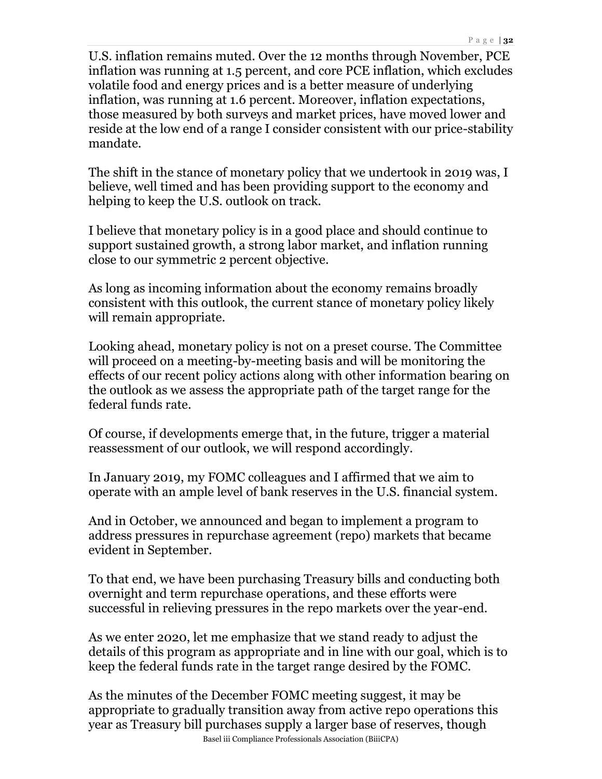U.S. inflation remains muted. Over the 12 months through November, PCE inflation was running at 1.5 percent, and core PCE inflation, which excludes volatile food and energy prices and is a better measure of underlying inflation, was running at 1.6 percent. Moreover, inflation expectations, those measured by both surveys and market prices, have moved lower and reside at the low end of a range I consider consistent with our price-stability mandate.

The shift in the stance of monetary policy that we undertook in 2019 was, I believe, well timed and has been providing support to the economy and helping to keep the U.S. outlook on track.

I believe that monetary policy is in a good place and should continue to support sustained growth, a strong labor market, and inflation running close to our symmetric 2 percent objective.

As long as incoming information about the economy remains broadly consistent with this outlook, the current stance of monetary policy likely will remain appropriate.

Looking ahead, monetary policy is not on a preset course. The Committee will proceed on a meeting-by-meeting basis and will be monitoring the effects of our recent policy actions along with other information bearing on the outlook as we assess the appropriate path of the target range for the federal funds rate.

Of course, if developments emerge that, in the future, trigger a material reassessment of our outlook, we will respond accordingly.

In January 2019, my FOMC colleagues and I affirmed that we aim to operate with an ample level of bank reserves in the U.S. financial system.

And in October, we announced and began to implement a program to address pressures in repurchase agreement (repo) markets that became evident in September.

To that end, we have been purchasing Treasury bills and conducting both overnight and term repurchase operations, and these efforts were successful in relieving pressures in the repo markets over the year-end.

As we enter 2020, let me emphasize that we stand ready to adjust the details of this program as appropriate and in line with our goal, which is to keep the federal funds rate in the target range desired by the FOMC.

As the minutes of the December FOMC meeting suggest, it may be appropriate to gradually transition away from active repo operations this year as Treasury bill purchases supply a larger base of reserves, though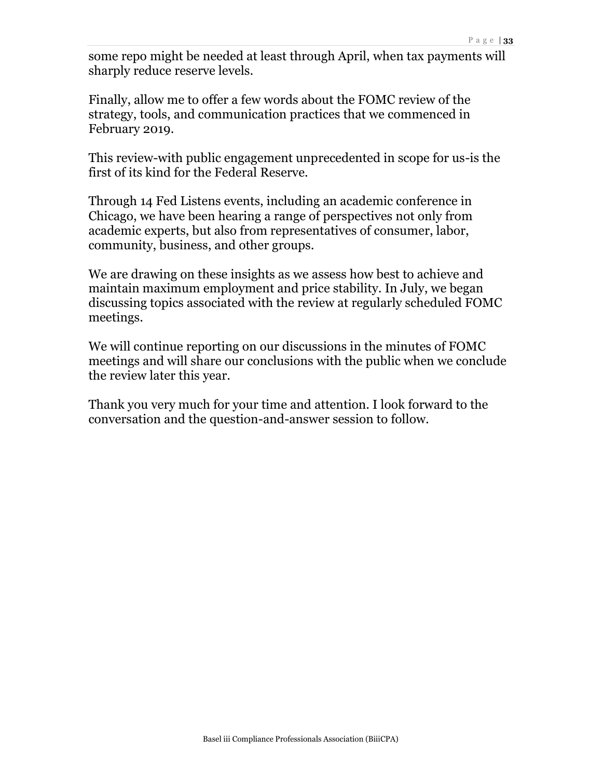some repo might be needed at least through April, when tax payments will sharply reduce reserve levels.

Finally, allow me to offer a few words about the FOMC review of the strategy, tools, and communication practices that we commenced in February 2019.

This review-with public engagement unprecedented in scope for us-is the first of its kind for the Federal Reserve.

Through 14 Fed Listens events, including an academic conference in Chicago, we have been hearing a range of perspectives not only from academic experts, but also from representatives of consumer, labor, community, business, and other groups.

We are drawing on these insights as we assess how best to achieve and maintain maximum employment and price stability. In July, we began discussing topics associated with the review at regularly scheduled FOMC meetings.

We will continue reporting on our discussions in the minutes of FOMC meetings and will share our conclusions with the public when we conclude the review later this year.

Thank you very much for your time and attention. I look forward to the conversation and the question-and-answer session to follow.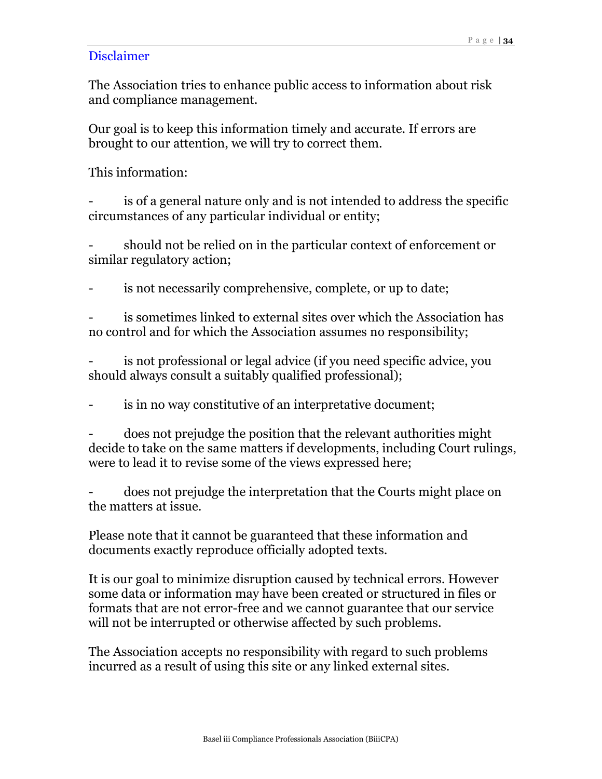#### Disclaimer

The Association tries to enhance public access to information about risk and compliance management.

Our goal is to keep this information timely and accurate. If errors are brought to our attention, we will try to correct them.

This information:

is of a general nature only and is not intended to address the specific circumstances of any particular individual or entity;

- should not be relied on in the particular context of enforcement or similar regulatory action;

is not necessarily comprehensive, complete, or up to date;

is sometimes linked to external sites over which the Association has no control and for which the Association assumes no responsibility;

is not professional or legal advice (if you need specific advice, you should always consult a suitably qualified professional);

is in no way constitutive of an interpretative document;

does not prejudge the position that the relevant authorities might decide to take on the same matters if developments, including Court rulings, were to lead it to revise some of the views expressed here;

does not prejudge the interpretation that the Courts might place on the matters at issue.

Please note that it cannot be guaranteed that these information and documents exactly reproduce officially adopted texts.

It is our goal to minimize disruption caused by technical errors. However some data or information may have been created or structured in files or formats that are not error-free and we cannot guarantee that our service will not be interrupted or otherwise affected by such problems.

The Association accepts no responsibility with regard to such problems incurred as a result of using this site or any linked external sites.